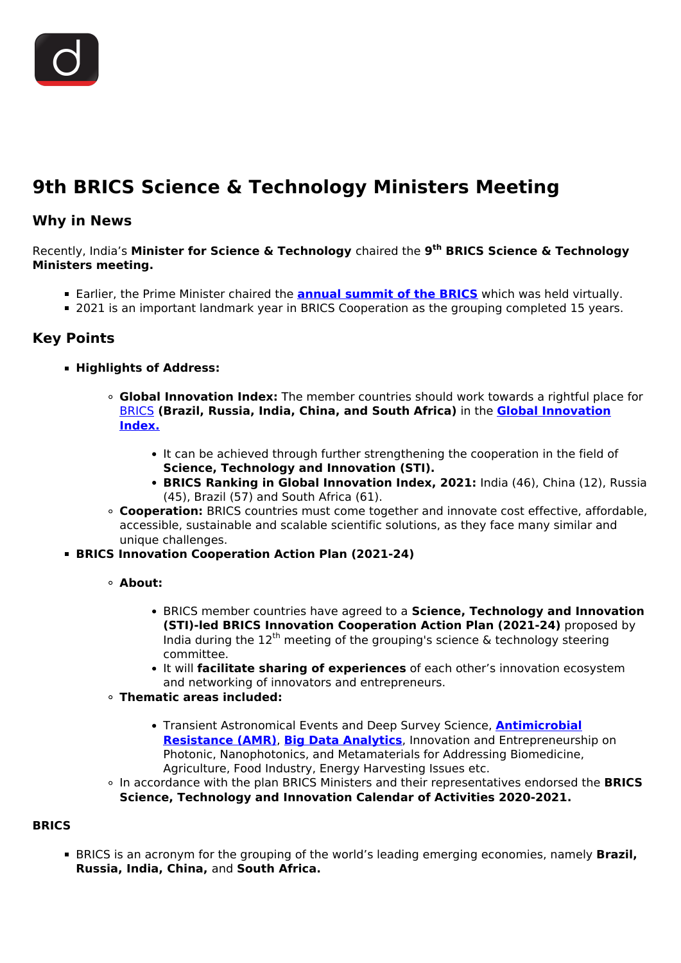

## **9th BRICS Science & Technology Ministers Meeting**

## **Why in News**

Recently, India's **Minister for Science & Technology** chaired the **9th BRICS Science & Technology Ministers meeting.**

- Earlier, the Prime Minister chaired the **[annual summit of the BRICS](/daily-updates/daily-news-analysis/13th-brics-summit)** which was held virtually.
- 2021 is an important landmark year in BRICS Cooperation as the grouping completed 15 years.

## **Key Points**

- **Highlights of Address:**
	- **Global Innovation Index:** The member countries should work towards a rightful place for [BRICS](/daily-updates/daily-news-analysis/5th-brics-culture-ministers-meet) **(Brazil, Russia, India, China, and South Africa)** in the **[Global Innovation](/daily-updates/daily-news-analysis/global-innovation-index-2021#:~:text=Indicators%3A%20The%20index%20ranks%20world,%3B%20Market%20sophistication%3B%20Business%20sophistication.) [Index.](/daily-updates/daily-news-analysis/global-innovation-index-2021#:~:text=Indicators%3A%20The%20index%20ranks%20world,%3B%20Market%20sophistication%3B%20Business%20sophistication.)**
		- It can be achieved through further strengthening the cooperation in the field of **Science, Technology and Innovation (STI).**
		- **BRICS Ranking in Global Innovation Index, 2021:** India (46), China (12), Russia (45), Brazil (57) and South Africa (61).
	- **Cooperation:** BRICS countries must come together and innovate cost effective, affordable, accessible, sustainable and scalable scientific solutions, as they face many similar and unique challenges.
- **BRICS Innovation Cooperation Action Plan (2021-24)**
	- **About:**
		- BRICS member countries have agreed to a **Science, Technology and Innovation (STI)-led BRICS Innovation Cooperation Action Plan (2021-24)** proposed by India during the  $12^{th}$  meeting of the grouping's science & technology steering committee.
		- It will **facilitate sharing of experiences** of each other's innovation ecosystem and networking of innovators and entrepreneurs.
	- **Thematic areas included:**
		- Transient Astronomical Events and Deep Survey Science, **[Antimicrobial](/to-the-points/paper3/to-the-point-paper-3-antimicrobial-resistance-amr) [Resistance \(AMR\)](/to-the-points/paper3/to-the-point-paper-3-antimicrobial-resistance-amr)**, **[Big Data Analytics](/to-the-points/paper3/big-data-1)**, Innovation and Entrepreneurship on Photonic, Nanophotonics, and Metamaterials for Addressing Biomedicine, Agriculture, Food Industry, Energy Harvesting Issues etc.
	- In accordance with the plan BRICS Ministers and their representatives endorsed the **BRICS Science, Technology and Innovation Calendar of Activities 2020-2021.**

## **BRICS**

**BRICS** is an acronym for the grouping of the world's leading emerging economies, namely **Brazil, Russia, India, China,** and **South Africa.**